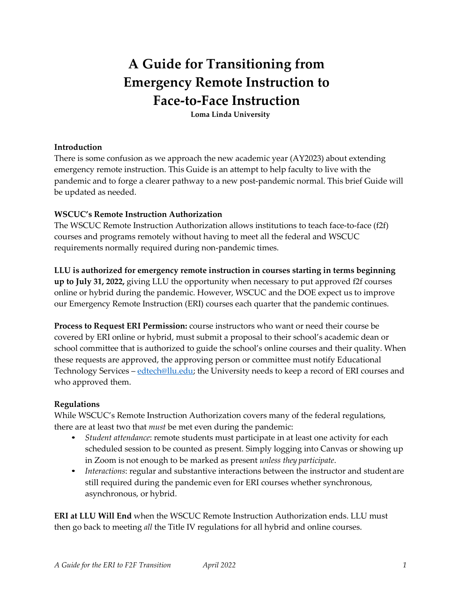# **A Guide for Transitioning from Emergency Remote Instruction to Face-to-Face Instruction**

**Loma Linda University**

#### **Introduction**

There is some confusion as we approach the new academic year (AY2023) about extending emergency remote instruction. This Guide is an attempt to help faculty to live with the pandemic and to forge a clearer pathway to a new post-pandemic normal. This brief Guide will be updated as needed.

#### **WSCUC's Remote Instruction Authorization**

The WSCUC Remote Instruction Authorization allows institutions to teach face-to-face (f2f) courses and programs remotely without having to meet all the federal and WSCUC requirements normally required during non-pandemic times.

#### **LLU is authorized for emergency remote instruction in courses starting in terms beginning**

**up to July 31, 2022,** giving LLU the opportunity when necessary to put approved f2f courses online or hybrid during the pandemic. However, WSCUC and the DOE expect us to improve our Emergency Remote Instruction (ERI) courses each quarter that the pandemic continues.

**Process to Request ERI Permission:** course instructors who want or need their course be covered by ERI online or hybrid, must submit a proposal to their school's academic dean or school committee that is authorized to guide the school's online courses and their quality. When these requests are approved, the approving person or committee must notify Educational Technology Services – [edtech@llu.edu;](mailto:edtech@llu.edu) the University needs to keep a record of ERI courses and who approved them.

#### **Regulations**

While WSCUC's Remote Instruction Authorization covers many of the federal regulations, there are at least two that *must* be met even during the pandemic:

- *Student attendance*: remote students must participate in at least one activity for each scheduled session to be counted as present. Simply logging into Canvas or showing up in Zoom is not enough to be marked as present *unless they participate*.
- *Interactions*: regular and substantive interactions between the instructor and student are still required during the pandemic even for ERI courses whether synchronous, asynchronous, or hybrid.

**ERI at LLU Will End** when the WSCUC Remote Instruction Authorization ends. LLU must then go back to meeting *all* the Title IV regulations for all hybrid and online courses.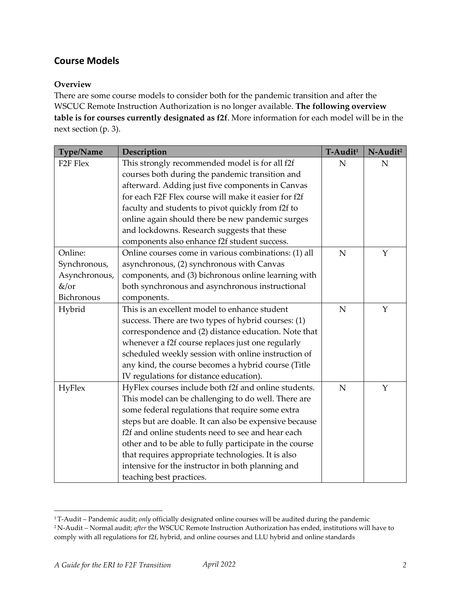# **Course Models**

# **Overview**

There are some course models to consider both for the pandemic transition and after the WSCUC Remote Instruction Authorization is no longer available. **The following overview table is for courses currently designated as f2f**. More information for each model will be in the next section (p. 3).

| Type/Name            | Description                                             | T-Audit <sup>1</sup> | N-Audit <sup>2</sup> |
|----------------------|---------------------------------------------------------|----------------------|----------------------|
| F <sub>2F</sub> Flex | This strongly recommended model is for all f2f          | N                    | $\mathbf N$          |
|                      | courses both during the pandemic transition and         |                      |                      |
|                      | afterward. Adding just five components in Canvas        |                      |                      |
|                      | for each F2F Flex course will make it easier for f2f    |                      |                      |
|                      | faculty and students to pivot quickly from f2f to       |                      |                      |
|                      | online again should there be new pandemic surges        |                      |                      |
|                      | and lockdowns. Research suggests that these             |                      |                      |
|                      | components also enhance f2f student success.            |                      |                      |
| Online:              | Online courses come in various combinations: (1) all    | $\overline{N}$       | Y                    |
| Synchronous,         | asynchronous, (2) synchronous with Canvas               |                      |                      |
| Asynchronous,        | components, and (3) bichronous online learning with     |                      |                      |
| &/or                 | both synchronous and asynchronous instructional         |                      |                      |
| Bichronous           | components.                                             |                      |                      |
| Hybrid               | This is an excellent model to enhance student           | $\mathbf N$          | Y                    |
|                      | success. There are two types of hybrid courses: (1)     |                      |                      |
|                      | correspondence and (2) distance education. Note that    |                      |                      |
|                      | whenever a f2f course replaces just one regularly       |                      |                      |
|                      | scheduled weekly session with online instruction of     |                      |                      |
|                      | any kind, the course becomes a hybrid course (Title     |                      |                      |
|                      | IV regulations for distance education).                 |                      |                      |
| <b>HyFlex</b>        | HyFlex courses include both f2f and online students.    | $\mathbf N$          | Y                    |
|                      | This model can be challenging to do well. There are     |                      |                      |
|                      | some federal regulations that require some extra        |                      |                      |
|                      | steps but are doable. It can also be expensive because  |                      |                      |
|                      | f2f and online students need to see and hear each       |                      |                      |
|                      | other and to be able to fully participate in the course |                      |                      |
|                      | that requires appropriate technologies. It is also      |                      |                      |
|                      | intensive for the instructor in both planning and       |                      |                      |
|                      | teaching best practices.                                |                      |                      |

<sup>1</sup> T-Audit – Pandemic audit; *only* officially designated online courses will be audited during the pandemic 2 N-Audit – Normal audit; *after* the WSCUC Remote Instruction Authorization has ended, institutions will have to comply with all regulations for f2f, hybrid, and online courses and LLU hybrid and online standards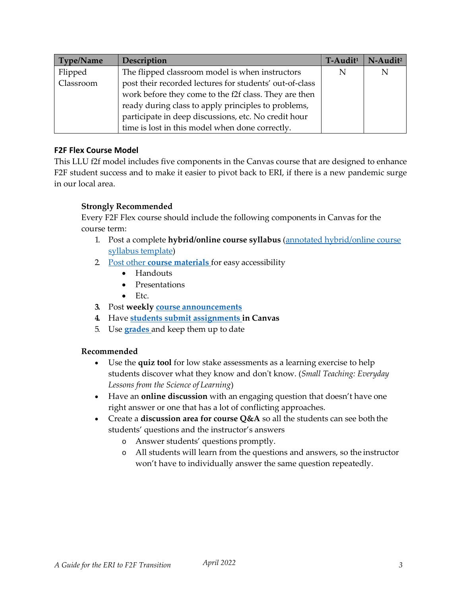| Type/Name | Description                                             | $T$ -Audit <sup>1</sup> | N-Audit <sup>2</sup> |
|-----------|---------------------------------------------------------|-------------------------|----------------------|
| Flipped   | The flipped classroom model is when instructors         |                         | N                    |
| Classroom | post their recorded lectures for students' out-of-class |                         |                      |
|           | work before they come to the f2f class. They are then   |                         |                      |
|           | ready during class to apply principles to problems,     |                         |                      |
|           | participate in deep discussions, etc. No credit hour    |                         |                      |
|           | time is lost in this model when done correctly.         |                         |                      |

### **F2F Flex Course Model**

This LLU f2f model includes five components in the Canvas course that are designed to enhance F2F student success and to make it easier to pivot back to ERI, if there is a new pandemic surge in our local area.

#### **Strongly Recommended**

Every F2F Flex course should include the following components in Canvas for the course term:

- 1. Post a complete **hybrid/online course syllabus** [\(annotated hybrid/online course](https://llu.instructure.com/courses/1110674/files/60285100?wrap=1)  syllabus [template\)](https://llu.instructure.com/courses/1110674/files/60285100?wrap=1)
- 2. Post other **[course materials](https://community.canvaslms.com/t5/Instructor-Guide/tkb-p/Instructor#Files)** for easy accessibility
	- Handouts
	- Presentations
	- $\bullet$  Etc.
- **3.** Post **weekly course [announcements](https://community.canvaslms.com/t5/Instructor-Guide/tkb-p/Instructor#Announcements)**
- **4.** Have **[students submit assignments i](https://community.canvaslms.com/t5/Student-Guide/tkb-p/student#Assignments)n Canvas**
- 5. Use **[grades](https://community.canvaslms.com/t5/Instructor-Guide/tkb-p/Instructor#Grades)** and keep them up to date

#### **Recommended**

- Use the **quiz tool** for low stake assessments as a learning exercise to help students discover what they know and don't know. (*Small Teaching: Everyday Lessons from the Science of Learning*)
- Have an **online discussion** with an engaging question that doesn't have one right answer or one that has a lot of conflicting approaches.
- Create a **discussion area for course Q&A** so all the students can see both the students' questions and the instructor's answers
	- o Answer students' questions promptly.
	- o All students will learn from the questions and answers, so the instructor won't have to individually answer the same question repeatedly.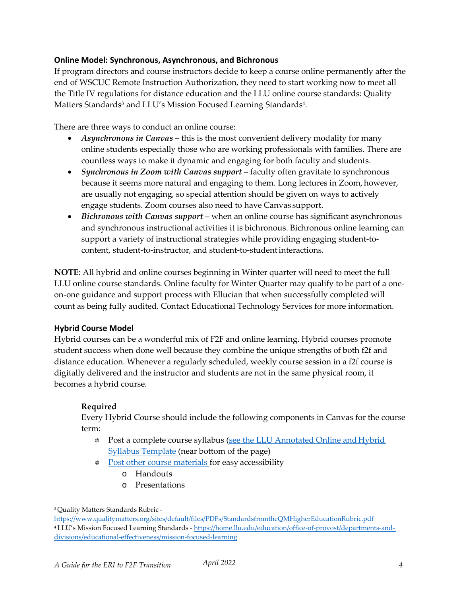#### **Online Model: Synchronous, Asynchronous, and Bichronous**

If program directors and course instructors decide to keep a course online permanently after the end of WSCUC Remote Instruction Authorization, they need to start working now to meet all the Title IV regulations for distance education and the LLU online course standards: Quality Matters Standards<sup>3</sup> and LLU's Mission Focused Learning Standards<sup>4</sup>.

There are three ways to conduct an online course:

- *Asynchronous in Canvas* this is the most convenient delivery modality for many online students especially those who are working professionals with families. There are countless ways to make it dynamic and engaging for both faculty and students.
- *Synchronous in Zoom with Canvas support* faculty often gravitate to synchronous because it seems more natural and engaging to them. Long lectures in Zoom, however, are usually not engaging, so special attention should be given on ways to actively engage students. Zoom courses also need to have Canvas support.
- *Bichronous with Canvas support*  when an online course has significant asynchronous and synchronous instructional activities it is bichronous. Bichronous online learning can support a variety of instructional strategies while providing engaging student-tocontent, student-to-instructor, and student-to-studentinteractions.

**NOTE**: All hybrid and online courses beginning in Winter quarter will need to meet the full LLU online course standards. Online faculty for Winter Quarter may qualify to be part of a oneon-one guidance and support process with Ellucian that when successfully completed will count as being fully audited. Contact Educational Technology Services for more information.

# **Hybrid Course Model**

Hybrid courses can be a wonderful mix of F2F and online learning. Hybrid courses promote student success when done well because they combine the unique strengths of both f2f and distance education. Whenever a regularly scheduled, weekly course session in a f2f course is digitally delivered and the instructor and students are not in the same physical room, it becomes a hybrid course.

# **Required**

Every Hybrid Course should include the following components in Canvas for the course term:

- Post a complete course syllabus (see the LLU Annotated Online and Hybrid [Syllabus Template \(](https://llu.instructure.com/courses/1110674/pages/course-audit)near bottom of the page)
- [Post other course materials f](https://community.canvaslms.com/t5/Instructor-Guide/tkb-p/Instructor#Files)or easy accessibility
	- o Handouts
	- o Presentations

<sup>3</sup> Quality Matters Standards Rubric -

<https://www.qualitymatters.org/sites/default/files/PDFs/StandardsfromtheQMHigherEducationRubric.pdf> 4 LLU's Mission Focused Learning Standards - [https://home.llu.edu/education/office-of-provost/departments-and](https://home.llu.edu/education/office-of-provost/departments-and-divisions/educational-effectiveness/mission-focused-learning)[divisions/educational-effectiveness/mission-focused-learning](https://home.llu.edu/education/office-of-provost/departments-and-divisions/educational-effectiveness/mission-focused-learning)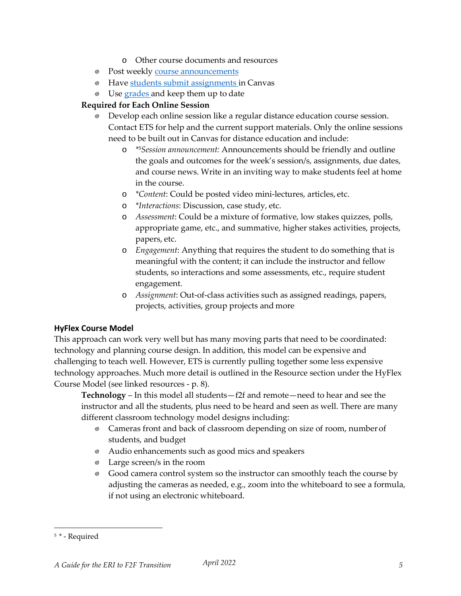- o Other course documents and resources
- Post weekly course [announcements](https://community.canvaslms.com/t5/Instructor-Guide/tkb-p/Instructor#Announcements)
- **Media Have [students submit assignments i](https://community.canvaslms.com/t5/Student-Guide/tkb-p/student#Assignments)n Canvas**
- Use [grades a](https://community.canvaslms.com/t5/Instructor-Guide/tkb-p/Instructor#Grades)nd keep them up to date

#### **Required for Each Online Session**

- Develop each online session like a regular distance education course session. Contact ETS for help and the current support materials. Only the online sessions need to be built out in Canvas for distance education and include:
	- o *\**5*Session announcement:* Announcements should be friendly and outline the goals and outcomes for the week's session/s, assignments, due dates, and course news. Write in an inviting way to make students feel at home in the course.
	- o *\*Content*: Could be posted video mini-lectures, articles, etc.
	- o *\*Interactions*: Discussion, case study, etc.
	- o *Assessment*: Could be a mixture of formative, low stakes quizzes, polls, appropriate game, etc., and summative, higher stakes activities, projects, papers, etc.
	- o *Engagement*: Anything that requires the student to do something that is meaningful with the content; it can include the instructor and fellow students, so interactions and some assessments, etc., require student engagement.
	- o *Assignment*: Out-of-class activities such as assigned readings, papers, projects, activities, group projects and more

#### **HyFlex Course Model**

This approach can work very well but has many moving parts that need to be coordinated: technology and planning course design. In addition, this model can be expensive and challenging to teach well. However, ETS is currently pulling together some less expensive technology approaches. Much more detail is outlined in the Resource section under the HyFlex Course Model (see linked resources - p. 8).

**Technology** – In this model all students—f2f and remote—need to hear and see the instructor and all the students, plus need to be heard and seen as well. There are many different classroom technology model designs including:

- Cameras front and back of classroom depending on size of room, number of students, and budget
- Audio enhancements such as good mics and speakers
- Large screen/s in the room
- Good camera control system so the instructor can smoothly teach the course by adjusting the cameras as needed, e.g., zoom into the whiteboard to see a formula, if not using an electronic whiteboard.

<sup>5</sup>*\** - Required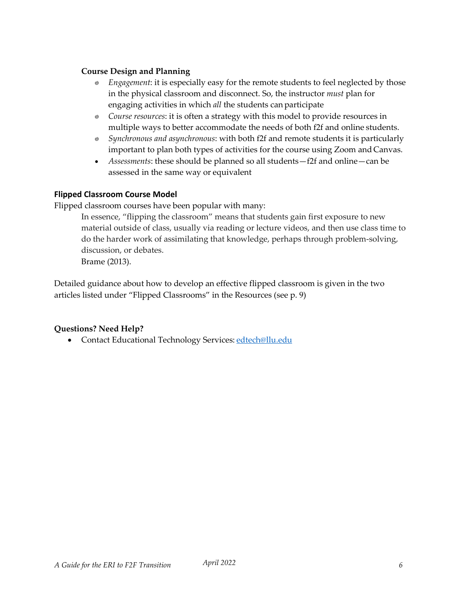#### **Course Design and Planning**

- *Engagement*: it is especially easy for the remote students to feel neglected by those in the physical classroom and disconnect. So, the instructor *must* plan for engaging activities in which *all* the students can participate
- *Course resources*: it is often a strategy with this model to provide resources in multiple ways to better accommodate the needs of both f2f and online students.
- *Synchronous and asynchronous*: with both f2f and remote students it is particularly important to plan both types of activities for the course using Zoom and Canvas.
- *Assessments*: these should be planned so all students—f2f and online—can be assessed in the same way or equivalent

#### **Flipped Classroom Course Model**

Flipped classroom courses have been popular with many:

In essence, "flipping the classroom" means that students gain first exposure to new material outside of class, usually via reading or lecture videos, and then use class time to do the harder work of assimilating that knowledge, perhaps through problem-solving, discussion, or debates. Brame (2013).

Detailed guidance about how to develop an effective flipped classroom is given in the two articles listed under "Flipped Classrooms" in the Resources (see p. 9)

# **Questions? Need Help?**

• Contact Educational Technology Services: [edtech@llu.edu](mailto:edtech@llu.edu)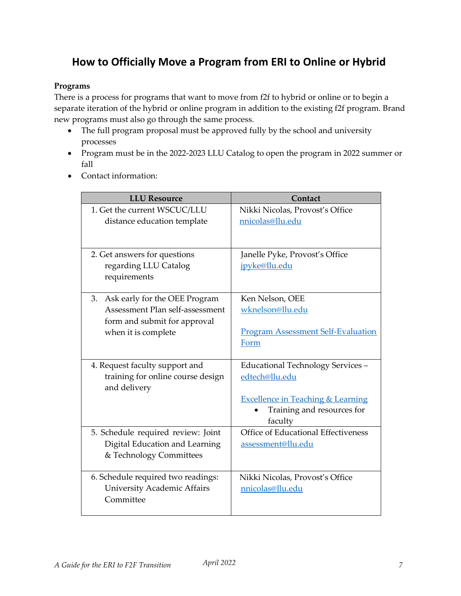# **How to Officially Move a Program from ERI to Online or Hybrid**

### **Programs**

There is a process for programs that want to move from f2f to hybrid or online or to begin a separate iteration of the hybrid or online program in addition to the existing f2f program. Brand new programs must also go through the same process.

- The full program proposal must be approved fully by the school and university processes
- Program must be in the 2022-2023 LLU Catalog to open the program in 2022 summer or fall
- Contact information:

| <b>LLU Resource</b>                                                                                                        | Contact                                                                                                                                      |
|----------------------------------------------------------------------------------------------------------------------------|----------------------------------------------------------------------------------------------------------------------------------------------|
| 1. Get the current WSCUC/LLU<br>distance education template                                                                | Nikki Nicolas, Provost's Office<br>nnicolas@llu.edu                                                                                          |
| 2. Get answers for questions<br>regarding LLU Catalog<br>requirements                                                      | Janelle Pyke, Provost's Office<br>jpyke@llu.edu                                                                                              |
| 3. Ask early for the OEE Program<br>Assessment Plan self-assessment<br>form and submit for approval<br>when it is complete | Ken Nelson, OEE<br>wknelson@llu.edu<br><b>Program Assessment Self-Evaluation</b><br>Form                                                     |
| 4. Request faculty support and<br>training for online course design<br>and delivery                                        | Educational Technology Services -<br>edtech@llu.edu<br><b>Excellence in Teaching &amp; Learning</b><br>Training and resources for<br>faculty |
| 5. Schedule required review: Joint<br>Digital Education and Learning<br>& Technology Committees                            | Office of Educational Effectiveness<br>assessment@llu.edu                                                                                    |
| 6. Schedule required two readings:<br><b>University Academic Affairs</b><br>Committee                                      | Nikki Nicolas, Provost's Office<br>nnicolas@llu.edu                                                                                          |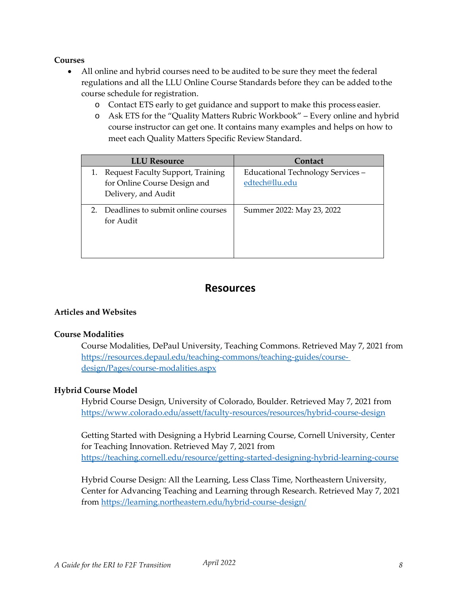#### **Courses**

- All online and hybrid courses need to be audited to be sure they meet the federal regulations and all the LLU Online Course Standards before they can be added tothe course schedule for registration.
	- o Contact ETS early to get guidance and support to make this process easier.
	- o Ask ETS for the "Quality Matters Rubric Workbook" Every online and hybrid course instructor can get one. It contains many examples and helps on how to meet each Quality Matters Specific Review Standard.

| <b>LLU</b> Resource                                                                         | Contact                                             |
|---------------------------------------------------------------------------------------------|-----------------------------------------------------|
| 1. Request Faculty Support, Training<br>for Online Course Design and<br>Delivery, and Audit | Educational Technology Services -<br>edtech@llu.edu |
| Deadlines to submit online courses<br>for Audit                                             | Summer 2022: May 23, 2022                           |

# **Resources**

#### **Articles and Websites**

#### **Course Modalities**

Course Modalities, DePaul University, Teaching Commons. Retrieved May 7, 2021 from [https://resources.depaul.edu/teaching-commons/teaching-guides/course](https://resources.depaul.edu/teaching-commons/teaching-guides/course-design/Pages/course-modalities.aspx)[design/Pages/course-modalities.aspx](https://resources.depaul.edu/teaching-commons/teaching-guides/course-design/Pages/course-modalities.aspx)

#### **Hybrid Course Model**

Hybrid Course Design, University of Colorado, Boulder. Retrieved May 7, 2021 from <https://www.colorado.edu/assett/faculty-resources/resources/hybrid-course-design>

Getting Started with Designing a Hybrid Learning Course, Cornell University, Center for Teaching Innovation. Retrieved May 7, 2021 from <https://teaching.cornell.edu/resource/getting-started-designing-hybrid-learning-course>

Hybrid Course Design: All the Learning, Less Class Time, Northeastern University, Center for Advancing Teaching and Learning through Research. Retrieved May 7, 2021 from<https://learning.northeastern.edu/hybrid-course-design/>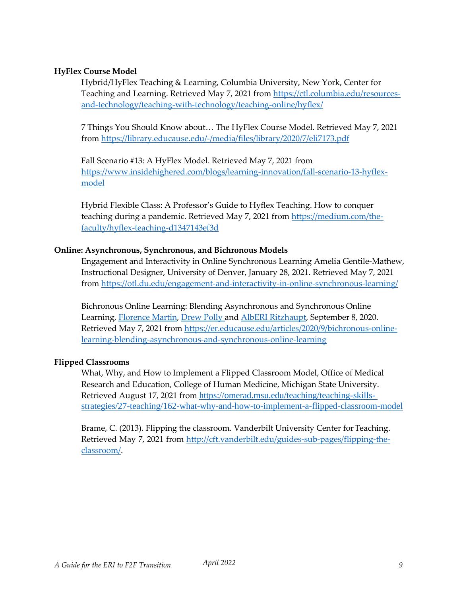#### **HyFlex Course Model**

Hybrid/HyFlex Teaching & Learning, Columbia University, New York, Center for Teaching and Learning. Retrieved May 7, 2021 from [https://ctl.columbia.edu/resources](https://ctl.columbia.edu/resources-and-technology/teaching-with-technology/teaching-online/hyflex/)[and-technology/teaching-with-technology/teaching-online/hyflex/](https://ctl.columbia.edu/resources-and-technology/teaching-with-technology/teaching-online/hyflex/)

7 Things You Should Know about… The HyFlex Course Model. Retrieved May 7, 2021 from<https://library.educause.edu/-/media/files/library/2020/7/eli7173.pdf>

Fall Scenario #13: A HyFlex Model. Retrieved May 7, 2021 from [https://www.insidehighered.com/blogs/learning-innovation/fall-scenario-13-hyflex](https://www.insidehighered.com/blogs/learning-innovation/fall-scenario-13-hyflex-model)[model](https://www.insidehighered.com/blogs/learning-innovation/fall-scenario-13-hyflex-model)

Hybrid Flexible Class: A Professor's Guide to Hyflex Teaching. How to conquer teaching during a pandemic. Retrieved May 7, 2021 from [https://medium.com/the](https://medium.com/the-faculty/hyflex-teaching-d1347143ef3d)[faculty/hyflex-teaching-d1347143ef3d](https://medium.com/the-faculty/hyflex-teaching-d1347143ef3d)

#### **Online: Asynchronous, Synchronous, and Bichronous Models**

Engagement and Interactivity in Online Synchronous Learning Amelia Gentile-Mathew, Instructional Designer, University of Denver, January 28, 2021. Retrieved May 7, 2021 from<https://otl.du.edu/engagement-and-interactivity-in-online-synchronous-learning/>

Bichronous Online Learning: Blending Asynchronous and Synchronous Online Learning, [Florence Martin,](https://members.educause.edu/florence-martin) [Drew Polly a](https://members.educause.edu/drew-polly)nd AlbERI [Ritzhaupt,](https://members.educause.edu/albert-ritzhaupt) September 8, 2020. Retrieved May 7, 2021 from [https://er.educause.edu/articles/2020/9/bichronous-online](https://er.educause.edu/articles/2020/9/bichronous-online-learning-blending-asynchronous-and-synchronous-online-learning)[learning-blending-asynchronous-and-synchronous-online-learning](https://er.educause.edu/articles/2020/9/bichronous-online-learning-blending-asynchronous-and-synchronous-online-learning)

#### **Flipped Classrooms**

What, Why, and How to Implement a Flipped Classroom Model, Office of Medical Research and Education, College of Human Medicine, Michigan State University. Retrieved August 17, 2021 from [https://omerad.msu.edu/teaching/teaching-skills](https://omerad.msu.edu/teaching/teaching-skills-strategies/27-teaching/162-what-why-and-how-to-implement-a-flipped-classroom-model)[strategies/27-teaching/162-what-why-and-how-to-implement-a-flipped-classroom-model](https://omerad.msu.edu/teaching/teaching-skills-strategies/27-teaching/162-what-why-and-how-to-implement-a-flipped-classroom-model)

Brame, C. (2013). Flipping the classroom. Vanderbilt University Center forTeaching. Retrieved May 7, 2021 from [http://cft.vanderbilt.edu/guides-sub-pages/flipping-the](http://cft.vanderbilt.edu/guides-sub-pages/flipping-the-classroom/)[classroom/.](http://cft.vanderbilt.edu/guides-sub-pages/flipping-the-classroom/)